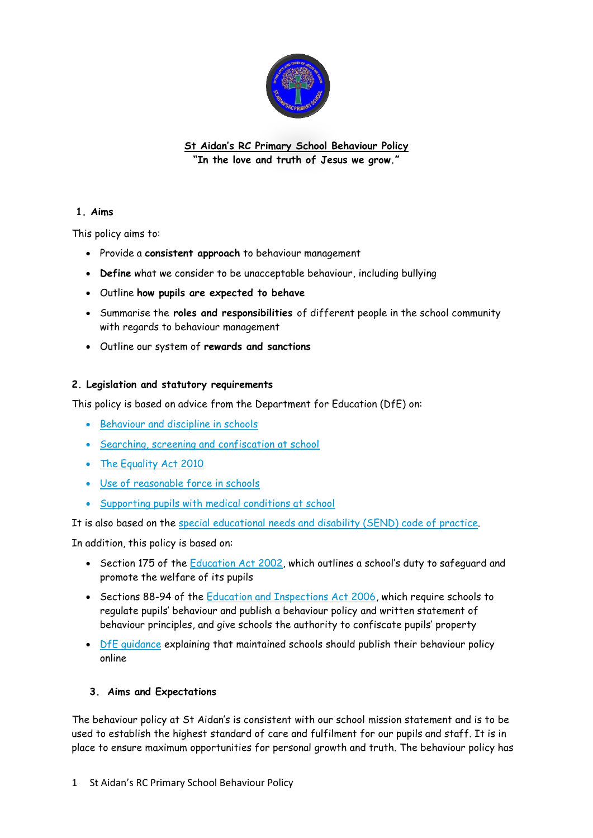

**St Aidan's RC Primary School Behaviour Policy "In the love and truth of Jesus we grow."**

#### **1. Aims**

This policy aims to:

- Provide a **consistent approach** to behaviour management
- **Define** what we consider to be unacceptable behaviour, including bullying
- Outline **how pupils are expected to behave**
- Summarise the **roles and responsibilities** of different people in the school community with regards to behaviour management
- Outline our system of **rewards and sanctions**

#### **2. Legislation and statutory requirements**

This policy is based on advice from the Department for Education (DfE) on:

- [Behaviour and discipline in schools](https://www.gov.uk/government/publications/behaviour-and-discipline-in-schools)
- [Searching, screening and confiscation at school](https://www.gov.uk/government/publications/searching-screening-and-confiscation)
- [The Equality Act 2010](https://www.gov.uk/government/publications/equality-act-2010-advice-for-schools)
- [Use of reasonable force in schools](https://www.gov.uk/government/publications/use-of-reasonable-force-in-schools)
- [Supporting pupils with medical conditions at school](https://www.gov.uk/government/publications/supporting-pupils-at-school-with-medical-conditions--3)

It is also based on the [special educational needs and disability \(SEND\) code of practice.](https://www.gov.uk/government/publications/send-code-of-practice-0-to-25)

In addition, this policy is based on:

- Section 175 of the [Education Act 2002](http://www.legislation.gov.uk/ukpga/2002/32/section/175), which outlines a school's duty to safeguard and promote the welfare of its pupils
- Sections 88-94 of the [Education and Inspections Act 2006,](http://www.legislation.gov.uk/ukpga/2006/40/section/88) which require schools to regulate pupils' behaviour and publish a behaviour policy and written statement of behaviour principles, and give schools the authority to confiscate pupils' property
- [DfE guidance](https://www.gov.uk/guidance/what-maintained-schools-must-publish-online#behaviour-policy) explaining that maintained schools should publish their behaviour policy online

#### **3. Aims and Expectations**

The behaviour policy at St Aidan's is consistent with our school mission statement and is to be used to establish the highest standard of care and fulfilment for our pupils and staff. It is in place to ensure maximum opportunities for personal growth and truth. The behaviour policy has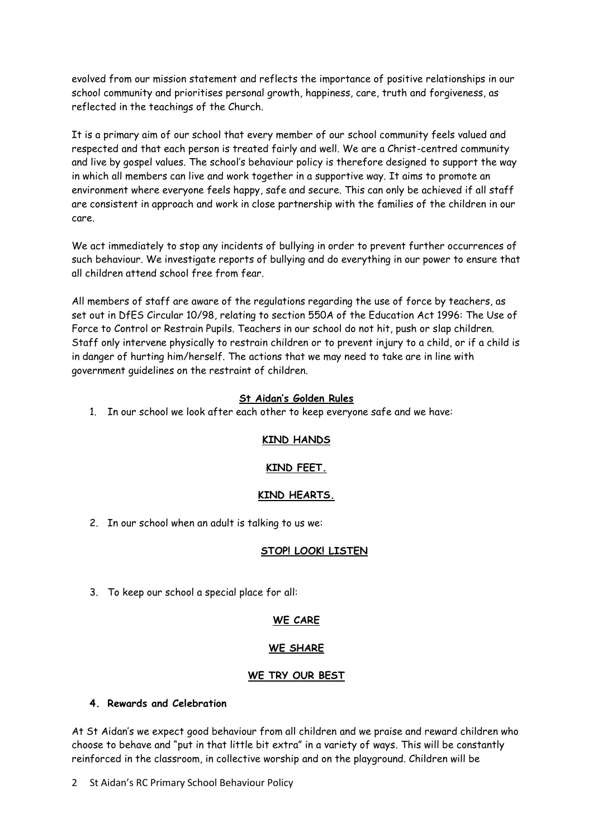evolved from our mission statement and reflects the importance of positive relationships in our school community and prioritises personal growth, happiness, care, truth and forgiveness, as reflected in the teachings of the Church.

It is a primary aim of our school that every member of our school community feels valued and respected and that each person is treated fairly and well. We are a Christ-centred community and live by gospel values. The school's behaviour policy is therefore designed to support the way in which all members can live and work together in a supportive way. It aims to promote an environment where everyone feels happy, safe and secure. This can only be achieved if all staff are consistent in approach and work in close partnership with the families of the children in our care.

We act immediately to stop any incidents of bullying in order to prevent further occurrences of such behaviour. We investigate reports of bullying and do everything in our power to ensure that all children attend school free from fear.

All members of staff are aware of the regulations regarding the use of force by teachers, as set out in DfES Circular 10/98, relating to section 550A of the Education Act 1996: The Use of Force to Control or Restrain Pupils. Teachers in our school do not hit, push or slap children. Staff only intervene physically to restrain children or to prevent injury to a child, or if a child is in danger of hurting him/herself. The actions that we may need to take are in line with government guidelines on the restraint of children.

#### **St Aidan's Golden Rules**

1. In our school we look after each other to keep everyone safe and we have:

#### **KIND HANDS**

#### **KIND FEET.**

#### **KIND HEARTS.**

2. In our school when an adult is talking to us we:

#### **STOP! LOOK! LISTEN**

3. To keep our school a special place for all:

#### **WE CARE**

#### **WE SHARE**

#### **WE TRY OUR BEST**

### **4. Rewards and Celebration**

At St Aidan's we expect good behaviour from all children and we praise and reward children who choose to behave and "put in that little bit extra" in a variety of ways. This will be constantly reinforced in the classroom, in collective worship and on the playground. Children will be

2 St Aidan's RC Primary School Behaviour Policy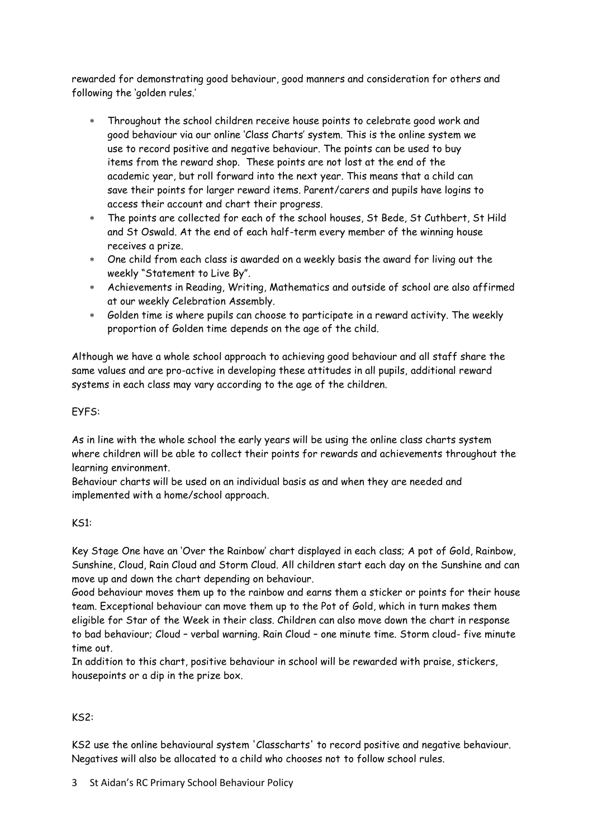rewarded for demonstrating good behaviour, good manners and consideration for others and following the 'golden rules.'

- Throughout the school children receive house points to celebrate good work and good behaviour via our online 'Class Charts' system. This is the online system we use to record positive and negative behaviour. The points can be used to buy items from the reward shop. These points are not lost at the end of the academic year, but roll forward into the next year. This means that a child can save their points for larger reward items. Parent/carers and pupils have logins to access their account and chart their progress.
- The points are collected for each of the school houses, St Bede, St Cuthbert, St Hild and St Oswald. At the end of each half-term every member of the winning house receives a prize.
- One child from each class is awarded on a weekly basis the award for living out the weekly "Statement to Live By".
- Achievements in Reading, Writing, Mathematics and outside of school are also affirmed at our weekly Celebration Assembly.
- Golden time is where pupils can choose to participate in a reward activity. The weekly proportion of Golden time depends on the age of the child.

Although we have a whole school approach to achieving good behaviour and all staff share the same values and are pro-active in developing these attitudes in all pupils, additional reward systems in each class may vary according to the age of the children.

#### EYFS:

As in line with the whole school the early years will be using the online class charts system where children will be able to collect their points for rewards and achievements throughout the learning environment.

Behaviour charts will be used on an individual basis as and when they are needed and implemented with a home/school approach.

#### KS1:

Key Stage One have an 'Over the Rainbow' chart displayed in each class; A pot of Gold, Rainbow, Sunshine, Cloud, Rain Cloud and Storm Cloud. All children start each day on the Sunshine and can move up and down the chart depending on behaviour.

Good behaviour moves them up to the rainbow and earns them a sticker or points for their house team. Exceptional behaviour can move them up to the Pot of Gold, which in turn makes them eligible for Star of the Week in their class. Children can also move down the chart in response to bad behaviour; Cloud – verbal warning. Rain Cloud – one minute time. Storm cloud- five minute time out.

In addition to this chart, positive behaviour in school will be rewarded with praise, stickers, housepoints or a dip in the prize box.

#### KS2:

KS2 use the online behavioural system 'Classcharts' to record positive and negative behaviour. Negatives will also be allocated to a child who chooses not to follow school rules.

3 St Aidan's RC Primary School Behaviour Policy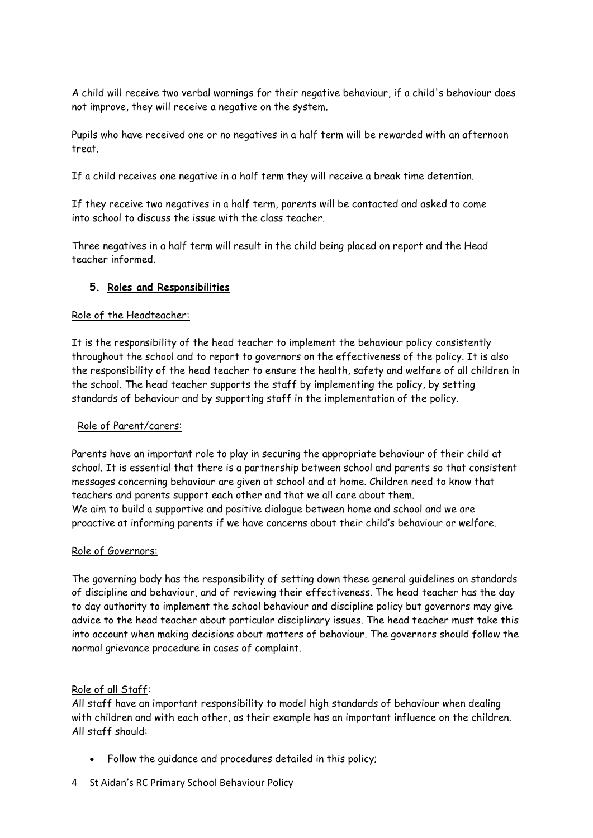A child will receive two verbal warnings for their negative behaviour, if a child's behaviour does not improve, they will receive a negative on the system.

Pupils who have received one or no negatives in a half term will be rewarded with an afternoon treat.

If a child receives one negative in a half term they will receive a break time detention.

If they receive two negatives in a half term, parents will be contacted and asked to come into school to discuss the issue with the class teacher.

Three negatives in a half term will result in the child being placed on report and the Head teacher informed.

#### **5. Roles and Responsibilities**

#### Role of the Headteacher:

It is the responsibility of the head teacher to implement the behaviour policy consistently throughout the school and to report to governors on the effectiveness of the policy. It is also the responsibility of the head teacher to ensure the health, safety and welfare of all children in the school. The head teacher supports the staff by implementing the policy, by setting standards of behaviour and by supporting staff in the implementation of the policy.

#### Role of Parent/carers:

Parents have an important role to play in securing the appropriate behaviour of their child at school. It is essential that there is a partnership between school and parents so that consistent messages concerning behaviour are given at school and at home. Children need to know that teachers and parents support each other and that we all care about them. We aim to build a supportive and positive dialogue between home and school and we are proactive at informing parents if we have concerns about their child's behaviour or welfare.

#### Role of Governors:

The governing body has the responsibility of setting down these general guidelines on standards of discipline and behaviour, and of reviewing their effectiveness. The head teacher has the day to day authority to implement the school behaviour and discipline policy but governors may give advice to the head teacher about particular disciplinary issues. The head teacher must take this into account when making decisions about matters of behaviour. The governors should follow the normal grievance procedure in cases of complaint.

#### Role of all Staff:

All staff have an important responsibility to model high standards of behaviour when dealing with children and with each other, as their example has an important influence on the children. All staff should:

- Follow the guidance and procedures detailed in this policy;
- 4 St Aidan's RC Primary School Behaviour Policy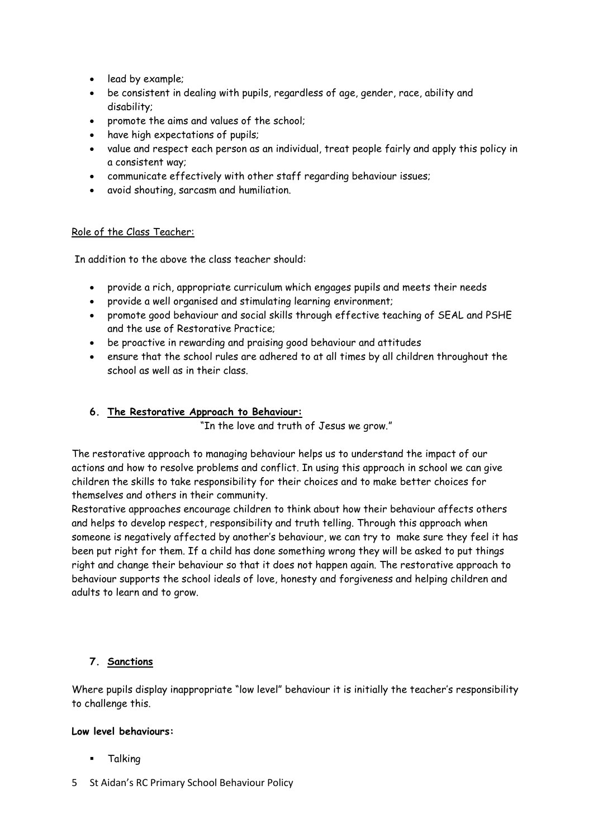- lead by example;
- be consistent in dealing with pupils, regardless of age, gender, race, ability and disability;
- promote the aims and values of the school;
- have high expectations of pupils;
- value and respect each person as an individual, treat people fairly and apply this policy in a consistent way;
- communicate effectively with other staff regarding behaviour issues;
- avoid shouting, sarcasm and humiliation.

#### Role of the Class Teacher:

In addition to the above the class teacher should:

- provide a rich, appropriate curriculum which engages pupils and meets their needs
- provide a well organised and stimulating learning environment;
- promote good behaviour and social skills through effective teaching of SEAL and PSHE and the use of Restorative Practice;
- be proactive in rewarding and praising good behaviour and attitudes
- ensure that the school rules are adhered to at all times by all children throughout the school as well as in their class.

#### **6. The Restorative Approach to Behaviour:**

"In the love and truth of Jesus we grow."

The restorative approach to managing behaviour helps us to understand the impact of our actions and how to resolve problems and conflict. In using this approach in school we can give children the skills to take responsibility for their choices and to make better choices for themselves and others in their community.

Restorative approaches encourage children to think about how their behaviour affects others and helps to develop respect, responsibility and truth telling. Through this approach when someone is negatively affected by another's behaviour, we can try to make sure they feel it has been put right for them. If a child has done something wrong they will be asked to put things right and change their behaviour so that it does not happen again. The restorative approach to behaviour supports the school ideals of love, honesty and forgiveness and helping children and adults to learn and to grow.

#### **7. Sanctions**

Where pupils display inappropriate "low level" behaviour it is initially the teacher's responsibility to challenge this.

#### **Low level behaviours:**

- **-** Talking
- 5 St Aidan's RC Primary School Behaviour Policy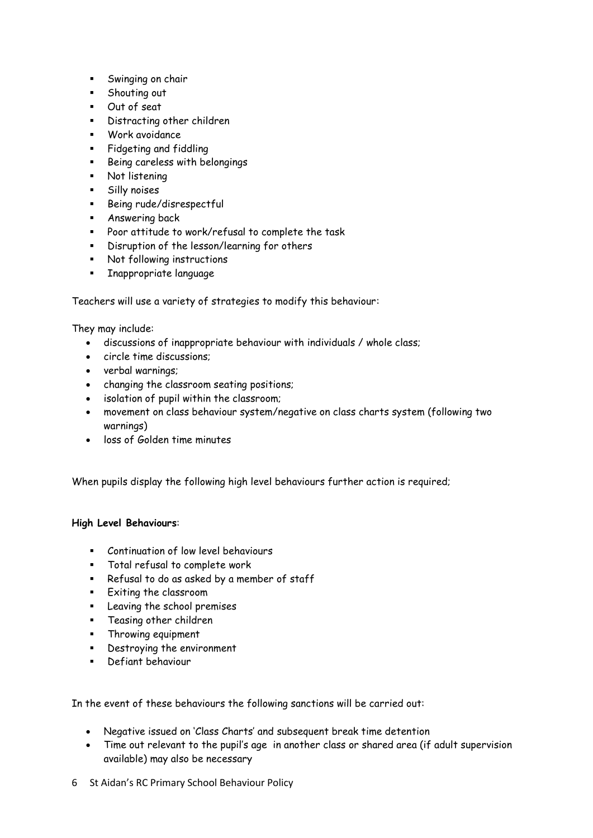- **Swinging on chair**
- **Shouting out**
- Out of seat
- Distracting other children
- Work avoidance
- **Fidgeting and fiddling**
- Being careless with belongings
- Not listening
- Silly noises
- Being rude/disrespectful
- Answering back
- Poor attitude to work/refusal to complete the task
- Disruption of the lesson/learning for others
- Not following instructions
- **Inappropriate language**

Teachers will use a variety of strategies to modify this behaviour:

They may include:

- discussions of inappropriate behaviour with individuals / whole class;
- circle time discussions;
- verbal warnings;
- changing the classroom seating positions;
- isolation of pupil within the classroom;
- movement on class behaviour system/negative on class charts system (following two warnings)
- loss of Golden time minutes

When pupils display the following high level behaviours further action is required;

#### **High Level Behaviours**:

- **Continuation of low level behaviours**
- Total refusal to complete work
- Refusal to do as asked by a member of staff
- Exiting the classroom
- Leaving the school premises
- Teasing other children
- **Filthrowing equipment**
- Destroying the environment
- **Defiant behaviour**

In the event of these behaviours the following sanctions will be carried out:

- Negative issued on 'Class Charts' and subsequent break time detention
- Time out relevant to the pupil's age in another class or shared area (if adult supervision available) may also be necessary
- 6 St Aidan's RC Primary School Behaviour Policy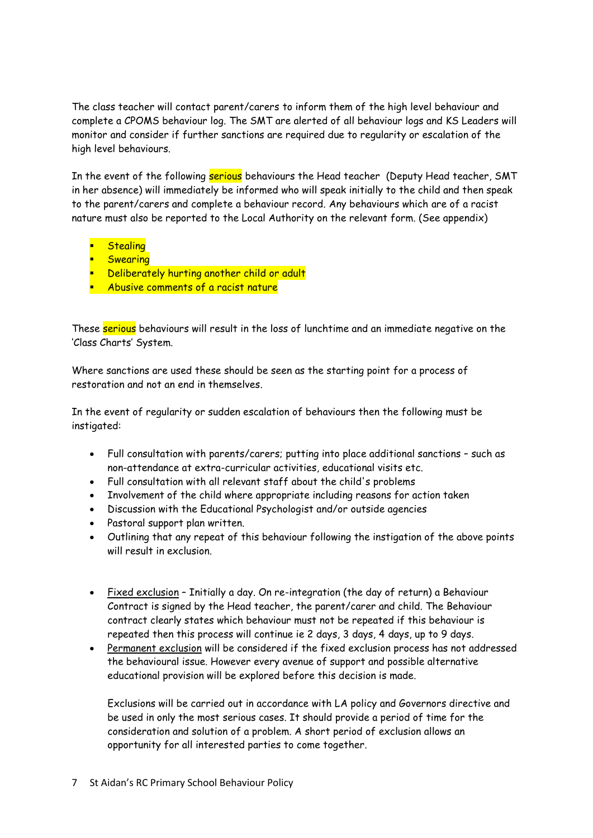The class teacher will contact parent/carers to inform them of the high level behaviour and complete a CPOMS behaviour log. The SMT are alerted of all behaviour logs and KS Leaders will monitor and consider if further sanctions are required due to regularity or escalation of the high level behaviours.

In the event of the following serious behaviours the Head teacher (Deputy Head teacher, SMT in her absence) will immediately be informed who will speak initially to the child and then speak to the parent/carers and complete a behaviour record. Any behaviours which are of a racist nature must also be reported to the Local Authority on the relevant form. (See appendix)

- **Stealing**
- **Swearing**
- **Deliberately hurting another child or adult**
- **Abusive comments of a racist nature**

These serious behaviours will result in the loss of lunchtime and an immediate negative on the 'Class Charts' System.

Where sanctions are used these should be seen as the starting point for a process of restoration and not an end in themselves.

In the event of regularity or sudden escalation of behaviours then the following must be instigated:

- Full consultation with parents/carers; putting into place additional sanctions such as non-attendance at extra-curricular activities, educational visits etc.
- Full consultation with all relevant staff about the child's problems
- Involvement of the child where appropriate including reasons for action taken
- Discussion with the Educational Psychologist and/or outside agencies
- Pastoral support plan written.
- Outlining that any repeat of this behaviour following the instigation of the above points will result in exclusion.
- Fixed exclusion Initially a day. On re-integration (the day of return) a Behaviour Contract is signed by the Head teacher, the parent/carer and child. The Behaviour contract clearly states which behaviour must not be repeated if this behaviour is repeated then this process will continue ie 2 days, 3 days, 4 days, up to 9 days.
- Permanent exclusion will be considered if the fixed exclusion process has not addressed the behavioural issue. However every avenue of support and possible alternative educational provision will be explored before this decision is made.

Exclusions will be carried out in accordance with LA policy and Governors directive and be used in only the most serious cases. It should provide a period of time for the consideration and solution of a problem. A short period of exclusion allows an opportunity for all interested parties to come together.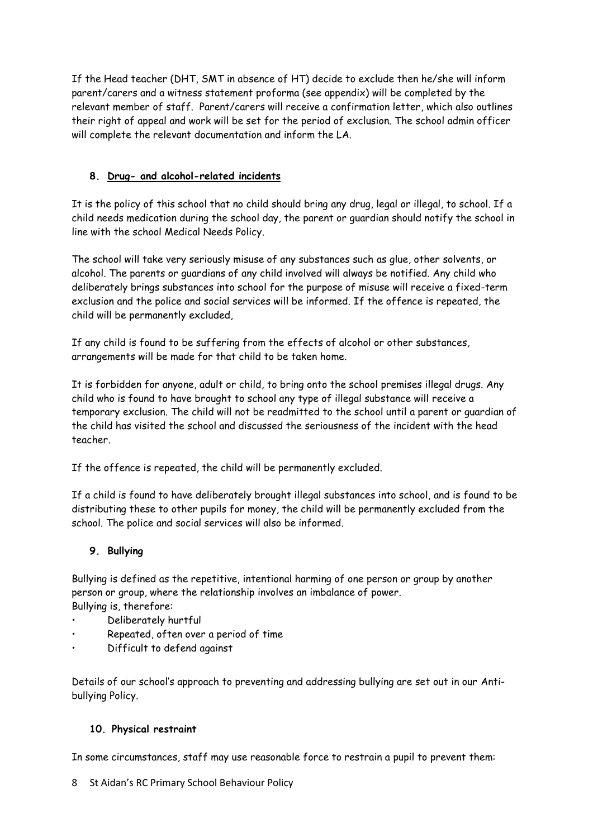If the Head teacher (DHT, SMT in absence of HT) decide to exclude then he/she will inform parent/carers and a witness statement proforma (see appendix) will be completed by the relevant member of staff. Parent/carers will receive a confirmation letter, which also outlines their right of appeal and work will be set for the period of exclusion. The school admin officer will complete the relevant documentation and inform the LA.

## **8. Drug- and alcohol-related incidents**

It is the policy of this school that no child should bring any drug, legal or illegal, to school. If a child needs medication during the school day, the parent or guardian should notify the school in line with the school Medical Needs Policy.

The school will take very seriously misuse of any substances such as glue, other solvents, or alcohol. The parents or guardians of any child involved will always be notified. Any child who deliberately brings substances into school for the purpose of misuse will receive a fixed-term exclusion and the police and social services will be informed. If the offence is repeated, the child will be permanently excluded,

If any child is found to be suffering from the effects of alcohol or other substances, arrangements will be made for that child to be taken home.

It is forbidden for anyone, adult or child, to bring onto the school premises illegal drugs. Any child who is found to have brought to school any type of illegal substance will receive a temporary exclusion. The child will not be readmitted to the school until a parent or guardian of the child has visited the school and discussed the seriousness of the incident with the head teacher.

If the offence is repeated, the child will be permanently excluded.

If a child is found to have deliberately brought illegal substances into school, and is found to be distributing these to other pupils for money, the child will be permanently excluded from the school. The police and social services will also be informed.

# **9. Bullying**

Bullying is defined as the repetitive, intentional harming of one person or group by another person or group, where the relationship involves an imbalance of power. Bullying is, therefore:

- Deliberately hurtful
- Repeated, often over a period of time
- Difficult to defend against

Details of our school's approach to preventing and addressing bullying are set out in our Antibullying Policy.

## **10. Physical restraint**

In some circumstances, staff may use reasonable force to restrain a pupil to prevent them:

8 St Aidan's RC Primary School Behaviour Policy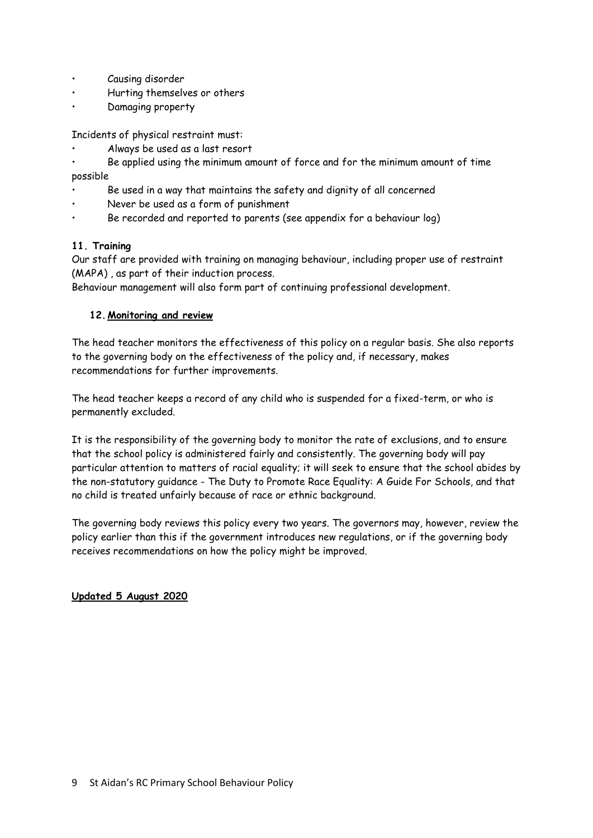- Causing disorder
- Hurting themselves or others
- Damaging property

Incidents of physical restraint must:

• Always be used as a last resort

• Be applied using the minimum amount of force and for the minimum amount of time possible

- Be used in a way that maintains the safety and dignity of all concerned
- Never be used as a form of punishment
- Be recorded and reported to parents (see appendix for a behaviour log)

#### **11. Training**

Our staff are provided with training on managing behaviour, including proper use of restraint (MAPA) , as part of their induction process.

Behaviour management will also form part of continuing professional development.

#### **12.Monitoring and review**

The head teacher monitors the effectiveness of this policy on a regular basis. She also reports to the governing body on the effectiveness of the policy and, if necessary, makes recommendations for further improvements.

The head teacher keeps a record of any child who is suspended for a fixed-term, or who is permanently excluded.

It is the responsibility of the governing body to monitor the rate of exclusions, and to ensure that the school policy is administered fairly and consistently. The governing body will pay particular attention to matters of racial equality; it will seek to ensure that the school abides by the non-statutory guidance - The Duty to Promote Race Equality: A Guide For Schools, and that no child is treated unfairly because of race or ethnic background.

The governing body reviews this policy every two years. The governors may, however, review the policy earlier than this if the government introduces new regulations, or if the governing body receives recommendations on how the policy might be improved.

#### **Updated 5 August 2020**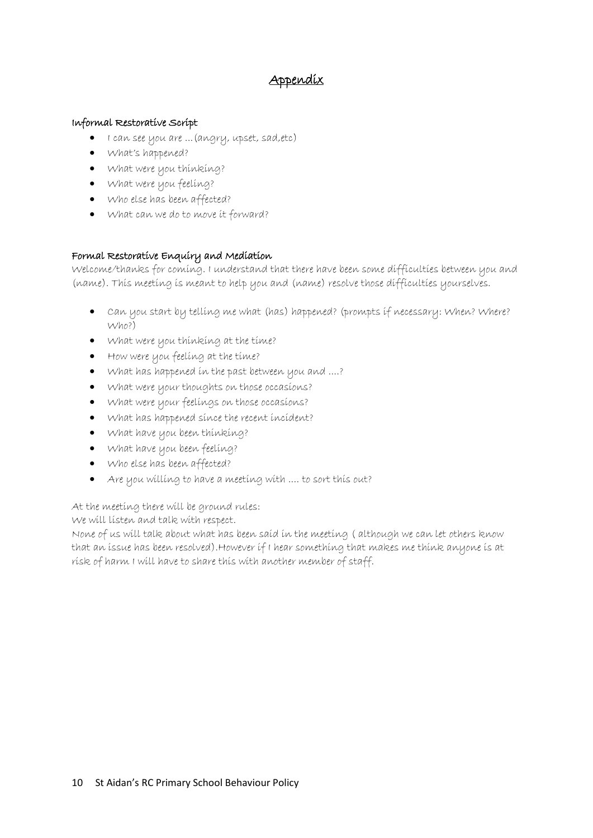# Appendix

#### Informal Restorative Script

- I can see you are ...(angry, upset, sad,etc)
- What's happened?
- What were you thinking?
- What were you feeling?
- Who else has been affected?
- What can we do to move it forward?

## Formal Restorative Enquiry and Mediation

Welcome/thanks for coming. I understand that there have been some difficulties between you and (name). This meeting is meant to help you and (name) resolve those difficulties yourselves.

- Can you start by telling me what (has) happened? (prompts if necessary: When? Where? Who?)
- What were you thinking at the time?
- How were you feeling at the time?
- What has happened in the past between you and ....?
- What were your thoughts on those occasions?
- What were your feelings on those occasions?
- What has happened since the recent incident?
- What have you been thinking?
- What have you been feeling?
- Who else has been affected?
- Are you willing to have a meeting with .... to sort this out?

At the meeting there will be ground rules:

We will listen and talk with respect.

None of us will talk about what has been said in the meeting ( although we can let others know that an issue has been resolved).However if I hear something that makes me think anyone is at risk of harm I will have to share this with another member of staff.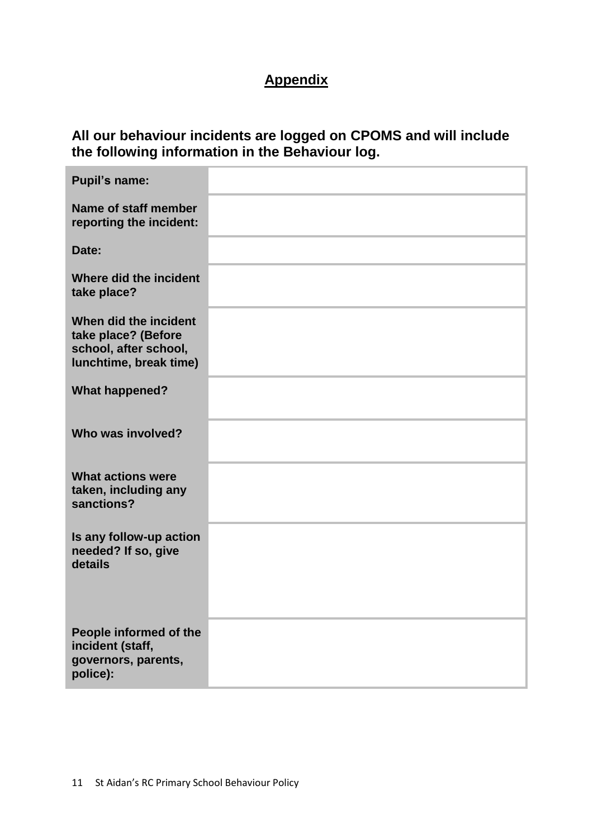# **Appendix**

# **All our behaviour incidents are logged on CPOMS and will include the following information in the Behaviour log.**

| <b>Pupil's name:</b>                                                                            |  |
|-------------------------------------------------------------------------------------------------|--|
| Name of staff member<br>reporting the incident:                                                 |  |
| Date:                                                                                           |  |
| Where did the incident<br>take place?                                                           |  |
| When did the incident<br>take place? (Before<br>school, after school,<br>lunchtime, break time) |  |
| <b>What happened?</b>                                                                           |  |
| Who was involved?                                                                               |  |
| <b>What actions were</b><br>taken, including any<br>sanctions?                                  |  |
| Is any follow-up action<br>needed? If so, give<br>details                                       |  |
| People informed of the<br>incident (staff,<br>governors, parents,<br>police):                   |  |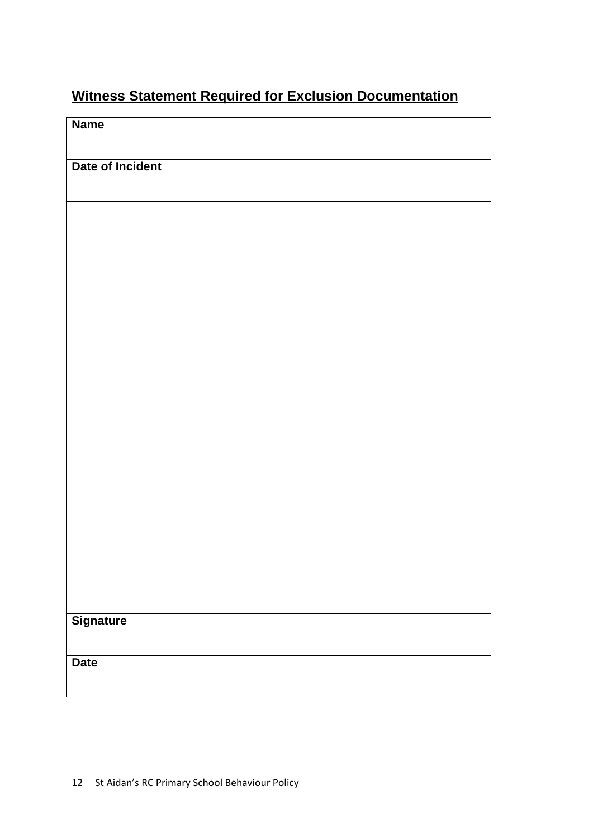# **Witness Statement Required for Exclusion Documentation**

| <b>Name</b>      |  |  |
|------------------|--|--|
| Date of Incident |  |  |
|                  |  |  |
|                  |  |  |
|                  |  |  |
|                  |  |  |
|                  |  |  |
|                  |  |  |
|                  |  |  |
|                  |  |  |
|                  |  |  |
|                  |  |  |
| <b>Signature</b> |  |  |
| <b>Date</b>      |  |  |